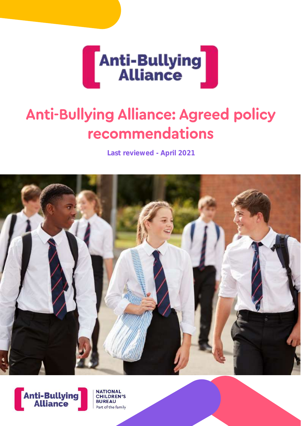

# **Anti-Bullying Alliance: Agreed policy** recommendations

**Last reviewed - April 2021**





**NATIONAL**<br>CHILDREN'S

Part of the family

**BUREAU**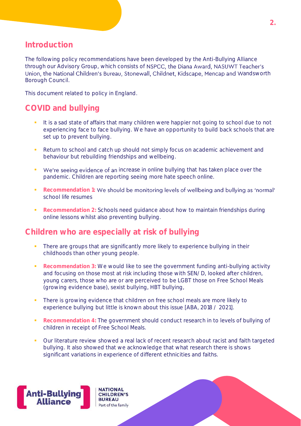#### **Introduction**

The following policy recommendations have been developed by the Anti-Bullying Alliance through our Advisory Group, which consists of NSPCC, the Diana Award, NASUWT Teacher's Union, the National Children's Bureau, Stonewall, Childnet, Kidscape, Mencap and Wandsworth Borough Council.

This document related to policy in England.

## **COVID and bullying**

- **.** It is a sad state of affairs that many children were happier not going to school due to not experiencing face to face bullying. We have an opportunity to build back schools that are set up to prevent bullying.
- Return to school and catch up should not simply focus on academic achievement and behaviour but rebuilding friendships and wellbeing.
- **We're seeing evidence of an increase in online bullying that has taken place over the** pandemic. Children are reporting seeing more hate speech online.
- **Recommendation 1: We should be monitoring levels of wellbeing and bullying as 'normal'** school life resumes
- **Recommendation 2: Schools need guidance about how to maintain friendships during** online lessons whilst also preventing bullying.

#### **Children who are especially at risk of bullying**

- There are groups that are significantly more likely to experience bullying in their childhoods than other young people.
- **Recommendation 3:** We would like to see the government funding anti-bullying activity and focusing on those most at risk including those with SEN/D, looked after children, young carers, those who are or are perceived to be LGBT those on Free School Meals (growing evidence base), sexist bullying, HBT bullying,
- **•** There is growing evidence that children on free school meals are more likely to experience bullying but little is known about this issue [ABA, 2018 / 2021].
- **Recommendation 4:** The government should conduct research in to levels of bullying of children in receipt of Free School Meals.
- Our literature review showed a real lack of recent research about racist and faith targeted bullying. It also showed that we acknowledge that what research there is shows significant variations in experience of different ethnicities and faiths.



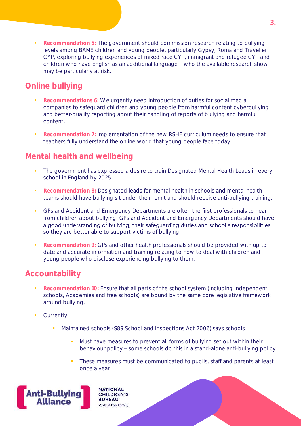**Recommendation** 5: The government should commission research relating to bullying levels among BAME children and young people, particularly Gypsy, Roma and Traveller CYP, exploring bullying experiences of mixed race CYP, immigrant and refugee CYP and children who have English as an additional language - who the available research show may be particularly at risk.

# **Online bullying**

- **Recommendations 6:** We urgently need introduction of duties for social media companies to safeguard children and young people from harmful content cyberbullying and better-quality reporting about their handling of reports of bullying and harmful content.
- **Recommendation 7: Implementation of the new RSHE curriculum needs to ensure that** teachers fully understand the online world that young people face today.

## **Mental health and wellbeing**

- The government has expressed a desire to train Designated Mental Health Leads in every school in England by 2025.
- **Recommendation 8: Designated leads for mental health in schools and mental health** teams should have bullying sit under their remit and should receive anti-bullying training.
- **GPs and Accident and Emergency Departments are often the first professionals to hear** from children about bullying. GPs and Accident and Emergency Departments should have a good understanding of bullying, their safeguarding duties and school's responsibilities so they are better able to support victims of bullying.
- **Recommendation 9:** GPs and other health professionals should be provided with up to date and accurate information and training relating to how to deal with children and young people who disclose experiencing bullying to them.

### **Accountability**

- Recommendation 10: Ensure that all parts of the school system (including independent schools, Academies and free schools) are bound by the same core legislative framework around bullying.
- Currently:
	- Maintained schools (S89 School and Inspections Act 2006) says schools
		- Must have measures to prevent all forms of bullying set out within their behaviour policy - some schools do this in a stand-alone anti-bullying policy
		- These measures must be communicated to pupils, staff and parents at least once a year

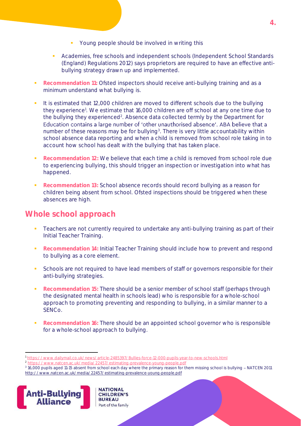- Young people should be involved in writing this
- Academies, free schools and independent schools (Independent School Standards (England) Regulations 2012) says proprietors are required to have an effective antibullying strategy drawn up and implemented.
- **Recommendation 11:** Ofsted inspectors should receive anti-bullying training and as a minimum understand what bullying is.
- It is estimated that 12,000 children are moved to different schools due to the bullying they experience<sup>1</sup>. We estimate that 16,000 children are off school at any one time due to the bullying they experienced<sup>2</sup>. Absence data collected termly by the Department for Education contains a large number of 'other unauthorised absence'. ABA believe that a number of these reasons may be for bullying<sup>3</sup>. There is very little accountability within school absence data reporting and when a child is removed from school role taking in to account how school has dealt with the bullying that has taken place.
- **Recommendation 12:** We believe that each time a child is removed from school role due to experiencing bullying, this should trigger an inspection or investigation into what has happened.
- **Recommendation 13:** School absence records should record bullying as a reason for children being absent from school. Ofsted inspections should be triggered when these absences are high.

#### **Whole school approach**

- Teachers are not currently required to undertake any anti-bullying training as part of their Initial Teacher Training.
- **Recommendation 14: Initial Teacher Training should include how to prevent and respond** to bullying as a core element.
- Schools are not required to have lead members of staff or governors responsible for their anti-bullying strategies.
- Recommendation 15: There should be a senior member of school staff (perhaps through the designated mental health in schools lead) who is responsible for a whole-school approach to promoting preventing and responding to bullying, in a similar manner to a SENCo.
- Recommendation 16: There should be an appointed school governor who is responsible for a whole-school approach to bullying.

<sup>&</sup>lt;sup>3</sup> 16,000 pupils aged 11-15 absent from school each day where the primary reason for them missing school is bullying - NATCEN 2011 <http://www.natcen.ac.uk/media/22457/estimating-prevalence-young-people.pdf>



 $\overline{a}$ 



<sup>1</sup> <https://www.dailymail.co.uk/news/article-2485397/Bullies-force-12-000-pupils-year-to-new-schools.html>

<sup>&</sup>lt;sup>2</sup> <https://www.natcen.ac.uk/media/22457/estimating-prevalence-young-people.pdf>